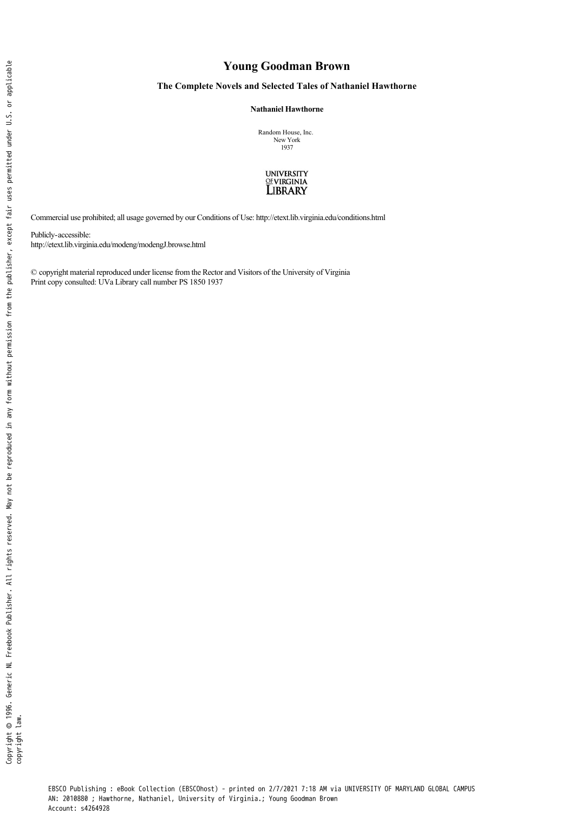## **Young Goodman Brown**

## **The Complete Novels and Selected Tales of Nathaniel Hawthorne**

**Nathaniel Hawthorne** 

Random House, Inc. New York 1937



Commercial use prohibited; all usage governed by our Conditions of Use: http://etext.lib.virginia.edu/conditions.html

Publicly-accessible: http://etext.lib.virginia.edu/modeng/modengJ.browse.html

© copyright material reproduced under license from the Rector and Visitors of the University of Virginia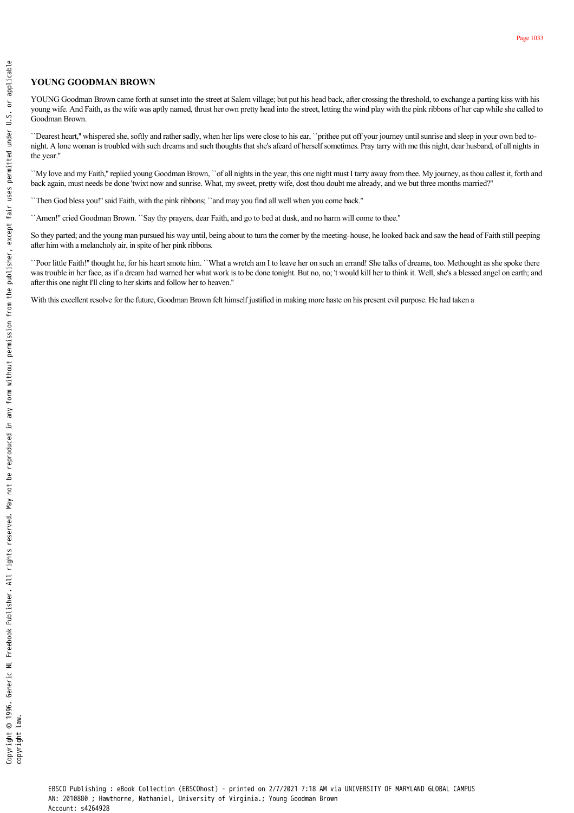## **YOUNG GOODMAN BROWN**

YOUNG Goodman Brown came forth at sunset into the street at Salem village; but put his head back, after crossing the threshold, to exchange a parting kiss with his young wife. And Faith, as the wife was aptly named, thrust her own pretty head into the street, letting the wind play with the pink ribbons of her cap while she called to Goodman Brown. **FOR GOODMAN BROWN<br>
SUCKGOODMAN BROWN<br>
SUCKGOODMAN BROWN<br>
SUCKGOODMAN BROWN<br>
SUCKGOODMAN BROWN<br>
SUCKGOODMAN BROWN<br>
SUCKGOODMAN BROWN<br>
SUCKGOODMAN BROWN<br>
SUCKGOODMAN BROWN<br>
SUCKGOODMAN BROWN<br>
SUCKGOODMAN BROWN<br>
SUCKGOODMAN** 

``Dearest heart,'' whispered she, softly and rather sadly, when her lips were close to his ear, ``prithee put off your journey until sunrise and sleep in your own bed tonight. A lone woman is troubled with such dreams and such thoughts that she's afeard of herself sometimes. Pray tarry with me this night, dear husband, of all nights in the year.''

``My love and my Faith,'' replied young Goodman Brown, ``of all nights in the year, this one night must I tarry away from thee. My journey, as thou callest it, forth and back again, must needs be done 'twixt now and sunrise. What, my sweet, pretty wife, dost thou doubt me already, and we but three months married?''

``Then God bless you!'' said Faith, with the pink ribbons; ``and may you find all well when you come back.''

``Amen!'' cried Goodman Brown. ``Say thy prayers, dear Faith, and go to bed at dusk, and no harm will come to thee.''

So they parted; and the young man pursued his way until, being about to turn the corner by the meeting-house, he looked back and saw the head of Faith still peeping after him with a melancholy air, in spite of her pink ribbons.

``Poor little Faith!'' thought he, for his heart smote him. ``What a wretch am I to leave her on such an errand! She talks of dreams, too. Methought as she spoke there was trouble in her face, as if a dream had warned her what work is to be done tonight. But no, no; 't would kill her to think it. Well, she's a blessed angel on earth; and after this one night I'll cling to her skirts and follow her to heaven.''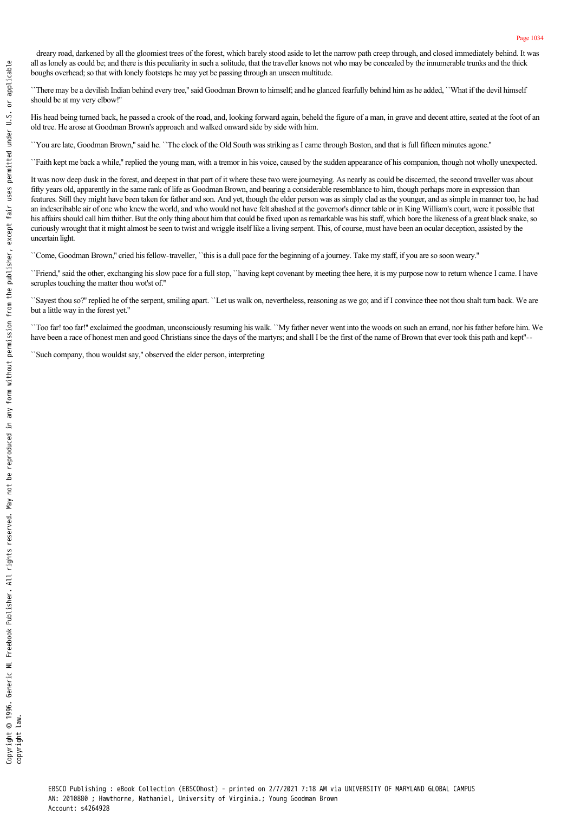dreary road, darkened by all the gloomiest trees of the forest, which barely stood aside to let the narrow path creep through, and closed immediately behind. It was all as lonely as could be; and there is this peculiarity in such a solitude, that the traveller knows not who may be concealed by the innumerable trunks and the thick boughs overhead; so that with lonely footsteps he may yet be passing through an unseen multitude.

``There may be a devilish Indian behind every tree,'' said Goodman Brown to himself; and he glanced fearfully behind him as he added, ``What if the devil himself should be at my very elbow!''

His head being turned back, he passed a crook of the road, and, looking forward again, beheld the figure of a man, in grave and decent attire, seated at the foot of an old tree. He arose at Goodman Brown's approach and walked onward side by side with him.

``You are late, Goodman Brown,'' said he. ``The clock of the Old South was striking as I came through Boston, and that is full fifteen minutes agone.''

``Faith kept me back a while,'' replied the young man, with a tremor in his voice, caused by the sudden appearance of his companion, though not wholly unexpected.

It was now deep dusk in the forest, and deepest in that part of it where these two were journeying. As nearly as could be discerned, the second traveller was about fifty years old, apparently in the same rank of life as Goodman Brown, and bearing a considerable resemblance to him, though perhaps more in expression than features. Still they might have been taken for father and son. And yet, though the elder person was as simply clad as the younger, and as simple in manner too, he had an indescribable air of one who knew the world, and who would not have felt abashed at the governor's dinner table or in King William's court, were it possible that his affairs should call him thither. But the only thing about him that could be fixed upon as remarkable was his staff, which bore the likeness of a great black snake, so curiously wrought that it might almost be seen to twist and wriggle itself like a living serpent. This, of course, must have been an ocular deception, assisted by the uncertain light.

``Come, Goodman Brown," cried his fellow-traveller, ``this is a dull pace for the beginning of a journey. Take my staff, if you are so soon weary."

``Friend,'' said the other, exchanging his slow pace for a full stop, ``having kept covenant by meeting thee here, it is my purpose now to return whence I came. I have scruples touching the matter thou wot'st of.''

``Sayest thou so?'' replied he of the serpent, smiling apart. ``Let us walk on, nevertheless, reasoning as we go; and if I convince thee not thou shalt turn back. We are but a little way in the forest yet.''

``Too far! too far!'' exclaimed the goodman, unconsciously resuming his walk. ``My father never went into the woods on such an errand, nor his father before him. We have been a race of honest men and good Christians since the days of the martyrs; and shall I be the first of the name of Brown that ever took this path and kept"--

``Such company, thou wouldst say,'' observed the elder person, interpreting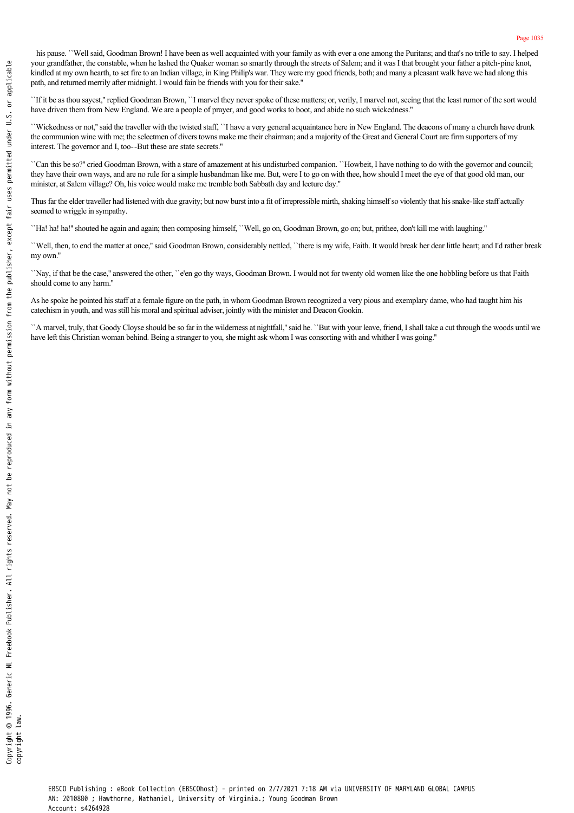his pause. ``Well said, Goodman Brown! I have been as well acquainted with your family as with ever a one among the Puritans; and that's no trifle to say. I helped your grandfather, the constable, when he lashed the Quaker woman so smartly through the streets of Salem; and it was I that brought your father a pitch-pine knot, kindled at my own hearth, to set fire to an Indian village, in King Philip's war. They were my good friends, both; and many a pleasant walk have we had along this path, and returned merrily after midnight. I would fain be friends with you for their sake.''

``If it be as thou sayest,'' replied Goodman Brown, ``I marvel they never spoke of these matters; or, verily, I marvel not, seeing that the least rumor of the sort would have driven them from New England. We are a people of prayer, and good works to boot, and abide no such wickedness.''

``Wickedness or not,'' said the traveller with the twisted staff, ``I have a very general acquaintance here in New England. The deacons of many a church have drunk the communion wine with me; the selectmen of divers towns make me their chairman; and a majority of the Great and General Court are firm supporters of my interest. The governor and I, too--But these are state secrets."  $\frac{3}{2}$ <br>
and the mean of the control and the same behavior when the control and the same of showing and the same of the same of the same of the same of the same of the same of the same of the same of the same of the sam

``Can this be so?'' cried Goodman Brown, with a stare of amazement at his undisturbed companion. ``Howbeit, I have nothing to do with the governor and council; they have their own ways, and are no rule for a simple husbandman like me. But, were I to go on with thee, how should I meet the eye of that good old man, our minister, at Salem village? Oh, his voice would make me tremble both Sabbath day and lecture day.''

Thus far the elder traveller had listened with due gravity; but now burst into a fit of irrepressible mirth, shaking himself so violently that his snake-like staff actually seemed to wriggle in sympathy.

``Ha! ha! ha!'' shouted he again and again; then composing himself, ``Well, go on, Goodman Brown, go on; but, prithee, don't kill me with laughing.''

``Well, then, to end the matter at once,'' said Goodman Brown, considerably nettled, ``there is my wife, Faith. It would break her dear little heart; and I'd rather break my own.''

``Nay, if that be the case,'' answered the other, ``e'en go thy ways, Goodman Brown. I would not for twenty old women like the one hobbling before us that Faith should come to any harm.''

As he spoke he pointed his staff at a female figure on the path, in whom Goodman Brown recognized a very pious and exemplary dame, who had taught him his catechism in youth, and was still his moral and spiritual adviser, jointly with the minister and Deacon Gookin.

``A marvel, truly, that Goody Cloyse should be so far in the wilderness at nightfall," said he. ``But with your leave, friend, I shall take a cut through the woods until we have left this Christian woman behind. Being a st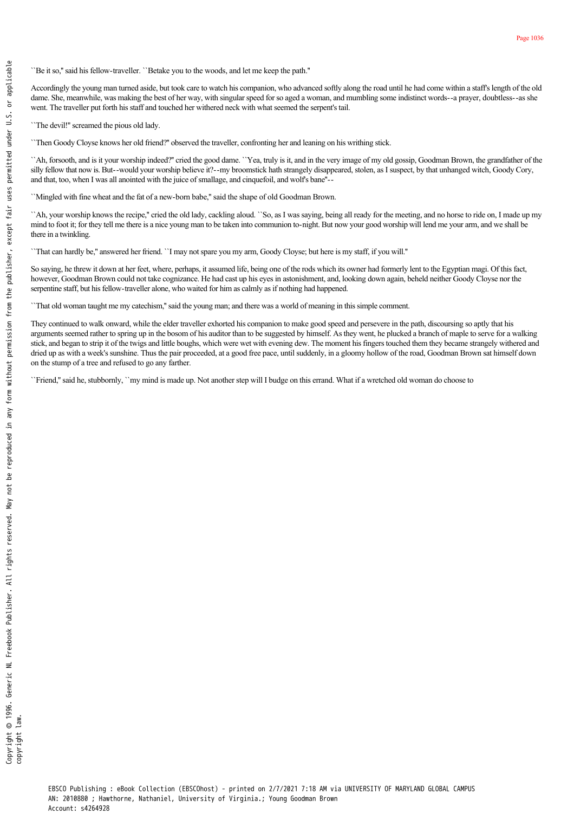``Be it so," said his fellow-traveller. ``Betake you to the woods, and let me keep the path.''

Accordingly the young man turned aside, but took care to watch his companion, who advanced softly along the road until he had come within a staff's length of the old dame. She, meanwhile, was making the best of her way, with singular speed for so aged a woman, and mumbling some indistinct words--a prayer, doubtless--as she went. The traveller put forth his staff and touched her withered neck with what seemed the serpent's tail.

``The devil!'' screamed the pious old lady.

``Then Goody Cloyse knows her old friend?'' observed the traveller, confronting her and leaning on his writhing stick.

``Ah, forsooth, and is it your worship indeed?'' cried the good dame. ``Yea, truly is it, and in the very image of my old gossip, Goodman Brown, the grandfather of the silly fellow that now is. But-would your worship believe it?--my broomstick hath strangely disappeared, stolen, as I suspect, by that unhanged witch, Goody Cory, and that, too, when I was all anointed with the juice of smallage, and cinquefoil, and wolf's bane''

``Mingled with fine wheat and the fat of a new-born babe," said the shape of old Goodman Brown.

``Ah, your worship knows the recipe,'' cried the old lady, cackling aloud. ``So, as I was saying, being all ready for the meeting, and no horse to ride on, I made up my mind to foot it; for they tell me there is a nice young man to be taken into communion to-night. But now your good worship will lend me your arm, and we shall be there in a twinkling.

``That can hardly be,'' answered her friend. ``I may not spare you my arm, Goody Cloyse; but here is my staff, if you will.''

So saying, he threw it down at her feet, where, perhaps, it assumed life, being one of the rods which its owner had formerly lent to the Egyptian magi. Of this fact, however, Goodman Brown could not take cognizance. He had cast up his eyes in astonishment, and, looking down again, beheld neither Goody Cloyse nor the serpentine staff, but his fellow-traveller alone, who waited for him as calmly as if nothing had happened.

``That old woman taught me my catechism,'' said the young man; and there was a world of meaning in this simple comment.

They continued to walk onward, while the elder traveller exhorted his companion to make good speed and persevere in the path, discoursing so aptly that his arguments seemed rather to spring up in the bosom of his auditor than to be suggested by himself. As they went, he plucked a branch of maple to serve for a walking stick, and began to strip it of the twigs and little boughs, which were wet with evening dew. The moment his fingers touched them they became strangely withered and dried up as with a week's sunshine. Thus the pair proceeded, at a good free pace, until suddenly, in a gloomy hollow of the road, Goodman Brown sat himself down on the stump of a tree and refused to go any farther.

``Friend,'' said he, stubbornly, ``my mind is made up. Not another step will I budge on this errand. What if a wretched old woman do choose to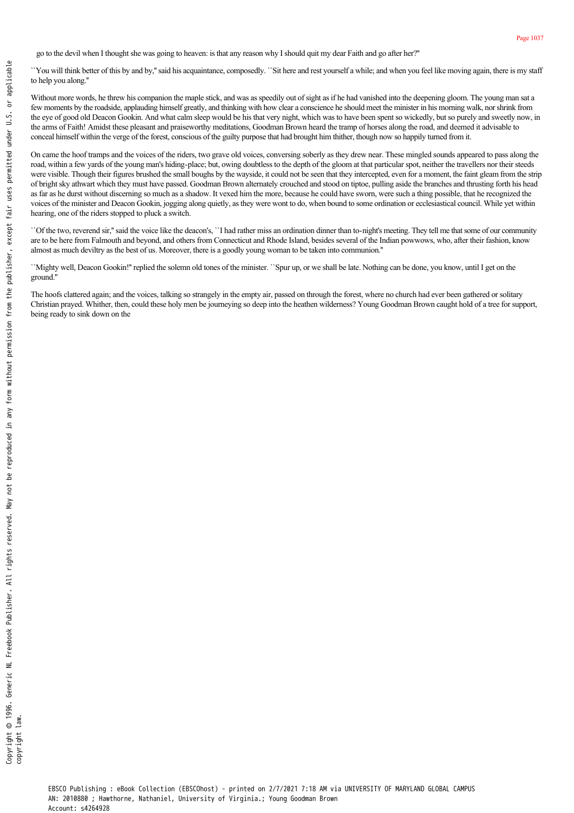go to the devil when I thought she was going to heaven: is that any reason why I should quit my dear Faith and go after her?''

``You will think better of this by and by,'' said his acquaintance, composedly. ``Sit here and rest yourself a while; and when you feel like moving again, there is my staff to help you along.''

Without more words, he threw his companion the maple stick, and was as speedily out of sight as if he had vanished into the deepening gloom. The young man sat a few moments by the roadside, applauding himself greatly, and thinking with how clear a conscience he should meet the minister in his morning walk, nor shrink from the eye of good old Deacon Gookin. And what calm sleep would be his that very night, which was to have been spent so wickedly, but so purely and sweetly now, in the arms of Faith! Amidst these pleasant and praiseworthy meditations, Goodman Brown heard the tramp of horses along the road, and deemed it advisable to conceal himself within the verge of the forest, conscious of the guilty purpose that had brought him thither, though now so happily turned from it.

On came the hoof tramps and the voices of the riders, two grave old voices, conversing soberly as they drew near. These mingled sounds appeared to pass along the road, within a few yards of the young man's hiding-place; but, owing doubtless to the depth of the gloom at that particular spot, neither the travellers nor their steeds were visible. Though their figures brushed the small boughs by the wayside, it could not be seen that they intercepted, even for a moment, the faint gleam from the strip of bright sky athwart which they must have passed. Goodman Brown alternately crouched and stood on tiptoe, pulling aside the branches and thrusting forth his head as far as he durst without discerning so much as a shadow. It vexed him the more, because he could have sworn, were such a thing possible, that he recognized the voices of the minister and Deacon Gookin, jogging along quietly, as they were wont to do, when bound to some ordination or ecclesiastical council. While yet within hearing, one of the riders stopped to pluck a switch.

``Of the two, reverend sir," said the voice like the deacon's, ``I had rather miss an ordination dinner than to-night's meeting. They tell me that some of our community are to be here from Falmouth and beyond, and others from Connecticut and Rhode Island, besides several of the Indian powwows, who, after their fashion, know almost as much deviltry as the best of us. Moreover, there is a goodly young woman to be taken into communion.''

``Mighty well, Deacon Gookin!'' replied the solemn old tones of the minister. ``Spur up, or we shall be late. Nothing can be done, you know, until I get on the ground.''

The hoofs clattered again; and the voices, talking so strangely in the empty air, passed on through the forest, where no church had ever been gathered or solitary Christian prayed. Whither, then, could these holy men be journeying so deep into the heathen wilderness? Young Goodman Brown caught hold of a tree for support, being ready to sink down on the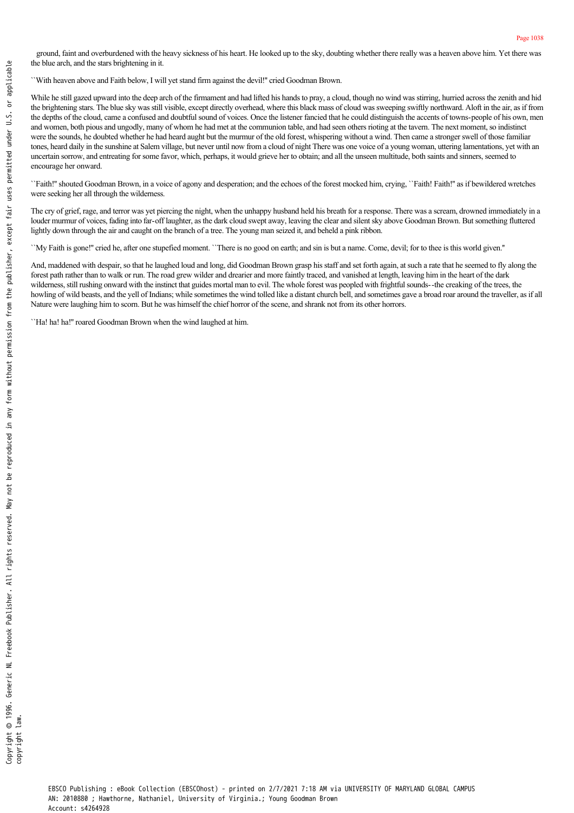ground, faint and overburdened with the heavy sickness of his heart. He looked up to the sky, doubting whether there really was a heaven above him. Yet there was the blue arch, and the stars brightening in it.

``With heaven above and Faith below, I will yet stand firm against the devil!'' cried Goodman Brown.

While he still gazed upward into the deep arch of the firmament and had lifted his hands to pray, a cloud, though no wind was stirring, hurried across the zenith and hid the brightening stars. The blue sky was still visible, except directly overhead, where this black mass of cloud was sweeping swiftly northward. Aloft in the air, as if from the depths of the cloud, came a confused and doubtful sound of voices. Once the listener fancied that he could distinguish the accents of towns-people of his own, men and women, both pious and ungodly, many of whom he had met at the communion table, and had seen others rioting at the tavern. The next moment, so indistinct were the sounds, he doubted whether he had heard aught but the murmur of the old forest, whispering without a wind. Then came a stronger swell of those familiar tones, heard daily in the sunshine at Salem village, but never until now from a cloud of night There was one voice of a young woman, uttering lamentations, yet with an uncertain sorrow, and entreating for some favor, which, perhaps, it would grieve her to obtain; and all the unseen multitude, both saints and sinners, seemed to encourage her onward.

``Faith!'' shouted Goodman Brown, in a voice of agony and desperation; and the echoes of the forest mocked him, crying, ``Faith! Faith!'' as if bewildered wretches were seeking her all through the wilderness.

The cry of grief, rage, and terror was yet piercing the night, when the unhappy husband held his breath for a response. There was a scream, drowned immediately in a louder murmur of voices, fading into far-off laughter, as the dark cloud swept away, leaving the clear and silent sky above Goodman Brown. But something fluttered lightly down through the air and caught on the branch of a tree. The young man seized it, and beheld a pink ribbon.

``My Faith is gone!'' cried he, after one stupefied moment. ``There is no good on earth; and sin is but a name. Come, devil; for to thee is this world given.''

And, maddened with despair, so that he laughed loud and long, did Goodman Brown grasp his staff and set forth again, at such a rate that he seemed to fly along the forest path rather than to walk or run. The road grew wilder and drearier and more faintly traced, and vanished at length, leaving him in the heart of the dark wilderness, still rushing onward with the instinct that guides mortal man to evil. The whole forest was peopled with frightful sounds--the creaking of the trees, the howling of wild beasts, and the yell of Indians; while sometimes the wind tolled like a distant church bell, and sometimes gave a broad roar around the traveller, as if all Nature were laughing him to scorn. But he was himself the chief horror of the scene, and shrank not from its other horrors.

``Ha! ha! ha!'' roared Goodman Brown when the wind laughed at him.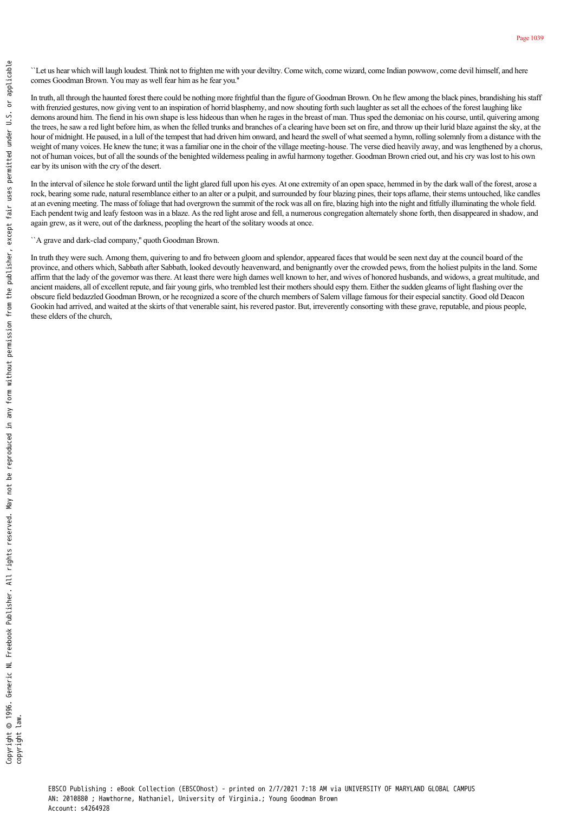``Let us hear which will laugh loudest. Think not to frighten me with your deviltry. Come witch, come wizard, come Indian powwow, come devil himself, and here comes Goodman Brown. You may as well fear him as he fear you.''

In truth, all through the haunted forest there could be nothing more frightful than the figure of Goodman Brown. On he flew among the black pines, brandishing his staff with frenzied gestures, now giving vent to an inspiration of horrid blasphemy, and now shouting forth such laughter as set all the echoes of the forest laughing like demons around him. The fiend in his own shape is less hideous than when he rages in the breast of man. Thus sped the demoniac on his course, until, quivering among the trees, he saw a red light before him, as when the felled trunks and branches of a clearing have been set on fire, and throw up their lurid blaze against the sky, at the hour of midnight. He paused, in a lull of the tempest that had driven him onward, and heard the swell of what seemed a hymn, rolling solemnly from a distance with the weight of many voices. He knew the tune; it was a familiar one in the choir of the village meeting-house. The verse died heavily away, and was lengthened by a chorus, not of human voices, but of all the sounds of the benighted wilderness pealing in awful harmony together. Goodman Brown cried out, and his cry was lost to his own ear by its unison with the cry of the desert. The substitution of the main term of the state of the church of the state of the conditional state of the material state with frenching estates, now given the trees, he saw are dight by demons around him. The first destru

In the interval of silence he stole forward until the light glared full upon his eyes. At one extremity of an open space, hemmed in by the dark wall of the forest, arose a rock, bearing some rude, natural resemblance either to an alter or a pulpit, and surrounded by four blazing pines, their tops aflame, their stems untouched, like candles at an evening meeting. The mass of foliage that had overgrown the summit of the rock was all on fire, blazing high into the night and fitfully illuminating the whole field. Each pendent twig and leafy festoon was in a blaze. As the red light arose and fell, a numerous congregation alternately shone forth, then disappeared in shadow, and again grew, as it were, out of the darkness, peopling the heart of the solitary woods at once.

"A grave and dark-clad company," quoth Goodman Brown.

In truth they were such. Among them, quivering to and fro between gloom and splendor, appeared faces that would be seen next day at the council board of the province, and others which, Sabbath after Sabbath, looked devoutly heavenward, and benignantly over the crowded pews, from the holiest pulpits in the land. Some affirm that the lady of the governor was there. At least there were high dames well known to her, and wives of honored husbands, and widows, a great multitude, and ancient maidens, all of excellent repute, and fair young girls, who trembled lest their mothers should espy them. Either the sudden gleams of light flashing over the obscure field bedazzled Goodman Brown, or he recognized a score of the church members of Salem village famous for their especial sanctity. Good old Deacon Gookin had arrived, and waited at the skirts of that venerable saint, his revered pastor. But, irreverently consorting with these grave, reputable, and pious people, these elders of the church,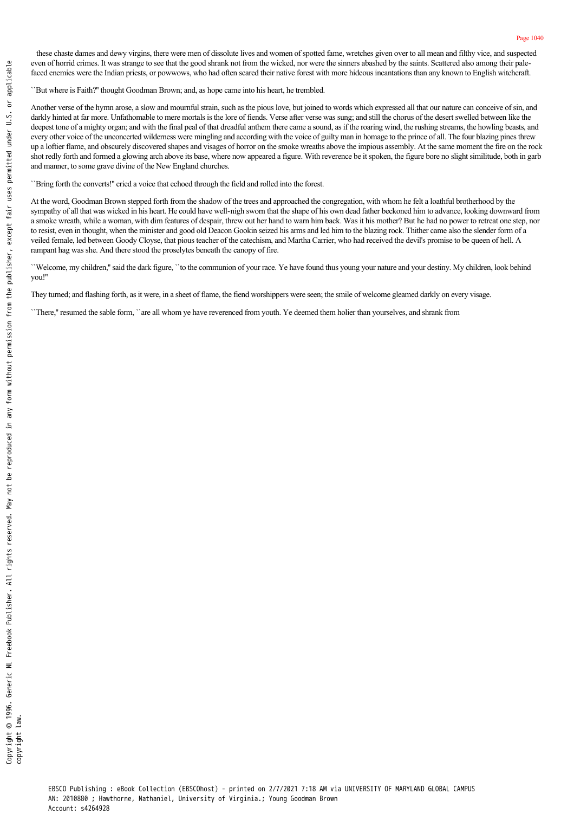``But where is Faith?'' thought Goodman Brown; and, as hope came into his heart, he trembled.

Another verse of the hymn arose, a slow and mournful strain, such as the pious love, but joined to words which expressed all that our nature can conceive of sin, and darkly hinted at far more. Unfathomable to mere mortals is the lore of fiends. Verse after verse was sung; and still the chorus of the desert swelled between like the deepest tone of a mighty organ; and with the final peal of that dreadful anthem there came a sound, as if the roaring wind, the rushing streams, the howling beasts, and every other voice of the unconcerted wilderness were mingling and according with the voice of guilty man in homage to the prince of all. The four blazing pines threw up a loftier flame, and obscurely discovered shapes and visages of horror on the smoke wreaths above the impious assembly. At the same moment the fire on the rock shot redly forth and formed a glowing arch above its base, where now appeared a figure. With reverence be it spoken, the figure bore no slight similitude, both in garb and manner, to some grave divine of the New England churches.

``Bring forth the converts!'' cried a voice that echoed through the field and rolled into the forest.

At the word, Goodman Brown stepped forth from the shadow of the trees and approached the congregation, with whom he felt a loathful brotherhood by the sympathy of all that was wicked in his heart. He could have well-nigh sworn that the shape of his own dead father beckoned him to advance, looking downward from a smoke wreath, while a woman, with dim features of despair, threw out her hand to warn him back. Was it his mother? But he had no power to retreat one step, nor to resist, even in thought, when the minister and good old Deacon Gookin seized his arms and led him to the blazing rock. Thither came also the slender form of a veiled female, led between Goody Cloyse, that pious teacher of the catechism, and Martha Carrier, who had received the devil's promise to be queen of hell. A rampant hag was she. And there stood the proselytes beneath the canopy of fire.

``Welcome, my children,'' said the dark figure, ``to the communion of your race. Ye have found thus young your nature and your destiny. My children, look behind you!''

They turned; and flashing forth, as it were, in a sheet of flame, the fiend worshippers were seen; the smile of welcome gleamed darkly on every visage.

``There,'' resumed the sable form, ``are all whom ye have reverenced from youth. Ye deemed them holier than yourselves, and shrank from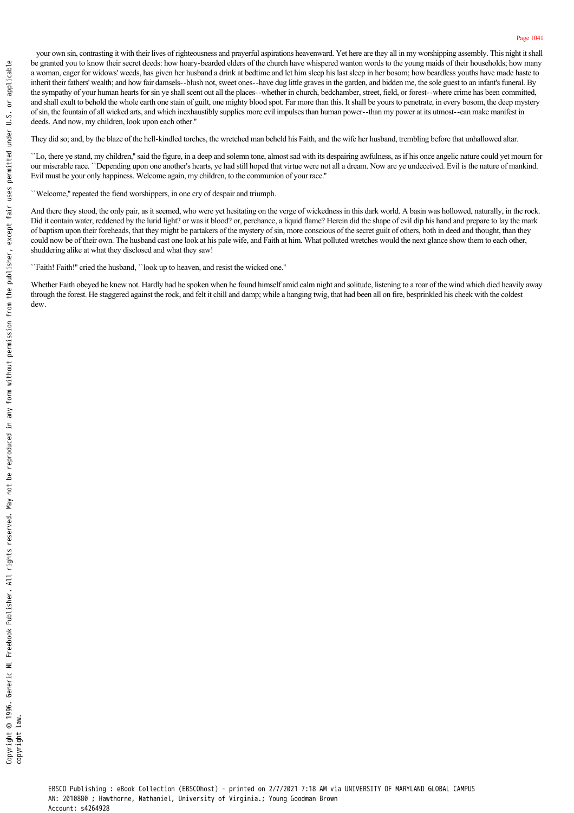your own sin, contrasting it with their lives of righteousness and prayerful aspirations heavenward. Yet here are they all in my worshipping assembly. This night it shall be granted you to know their secret deeds: how hoary-bearded elders of the church have whispered wanton words to the young maids of their households; how many a woman, eager for widows' weeds, has given her husband a drink at bedtime and let him sleep his last sleep in her bosom; how beardless youths have made haste to inherit their fathers' wealth; and how fair damsels--blush not, sweet ones--have dug little graves in the garden, and bidden me, the sole guest to an infant's funeral. By the sympathy of your human hearts for sin ye shall scent out all the places-whether in church, bedchamber, street, field, or forest-where crime has been committed, and shall exult to behold the whole earth one stain of guilt, one mighty blood spot. Far more than this. It shall be yours to penetrate, in every bosom, the deep mystery of sin, the fountain of all wicked arts, and which inexhaustibly supplies more evil impulses than human power-than my power at its utmost-can make manifest in deeds. And now, my children, look upon each other.''

They did so; and, by the blaze of the hell-kindled torches, the wretched man beheld his Faith, and the wife her husband, trembling before that unhallowed altar.

``Lo, there ye stand, my children,'' said the figure, in a deep and solemn tone, almost sad with its despairing awfulness, as if his once angelic nature could yet mourn for our miserable race. ``Depending upon one another's hearts, ye had still hoped that virtue were not all a dream. Now are ye undeceived. Evil is the nature of mankind. Evil must be your only happiness. Welcome again, my children, to the communion of your race.''

``Welcome,'' repeated the fiend worshippers, in one cry of despair and triumph.

And there they stood, the only pair, as it seemed, who were yet hesitating on the verge of wickedness in this dark world. A basin was hollowed, naturally, in the rock. Did it contain water, reddened by the lurid light? or was it blood? or, perchance, a liquid flame? Herein did the shape of evil dip his hand and prepare to lay the mark of baptism upon their foreheads, that they might be partakers of the mystery of sin, more conscious of the secret guilt of others, both in deed and thought, than they could now be of their own. The husband cast one look at his pale wife, and Faith at him. What polluted wretches would the next glance show them to each other, shuddering alike at what they disclosed and what they saw!

``Faith! Faith!'' cried the husband, ``look up to heaven, and resist the wicked one.''

Whether Faith obeyed he knew not. Hardly had he spoken when he found himself amid calm night and solitude, listening to a roar of the wind which died heavily away through the forest. He staggered against the rock, and felt it chill and damp; while a hanging twig, that had been all on fire, besprinkled his cheek with the coldest  $d$ ew